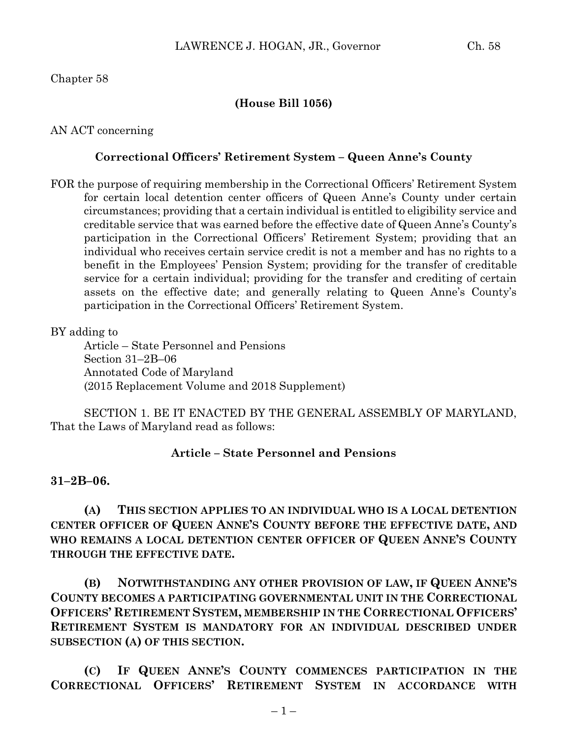## **(House Bill 1056)**

AN ACT concerning

## **Correctional Officers' Retirement System – Queen Anne's County**

FOR the purpose of requiring membership in the Correctional Officers' Retirement System for certain local detention center officers of Queen Anne's County under certain circumstances; providing that a certain individual is entitled to eligibility service and creditable service that was earned before the effective date of Queen Anne's County's participation in the Correctional Officers' Retirement System; providing that an individual who receives certain service credit is not a member and has no rights to a benefit in the Employees' Pension System; providing for the transfer of creditable service for a certain individual; providing for the transfer and crediting of certain assets on the effective date; and generally relating to Queen Anne's County's participation in the Correctional Officers' Retirement System.

BY adding to

Article – State Personnel and Pensions Section 31–2B–06 Annotated Code of Maryland (2015 Replacement Volume and 2018 Supplement)

SECTION 1. BE IT ENACTED BY THE GENERAL ASSEMBLY OF MARYLAND, That the Laws of Maryland read as follows:

## **Article – State Personnel and Pensions**

## **31–2B–06.**

**(A) THIS SECTION APPLIES TO AN INDIVIDUAL WHO IS A LOCAL DETENTION CENTER OFFICER OF QUEEN ANNE'S COUNTY BEFORE THE EFFECTIVE DATE, AND WHO REMAINS A LOCAL DETENTION CENTER OFFICER OF QUEEN ANNE'S COUNTY THROUGH THE EFFECTIVE DATE.**

**(B) NOTWITHSTANDING ANY OTHER PROVISION OF LAW, IF QUEEN ANNE'S COUNTY BECOMES A PARTICIPATING GOVERNMENTAL UNIT IN THE CORRECTIONAL OFFICERS' RETIREMENT SYSTEM, MEMBERSHIP IN THE CORRECTIONAL OFFICERS' RETIREMENT SYSTEM IS MANDATORY FOR AN INDIVIDUAL DESCRIBED UNDER SUBSECTION (A) OF THIS SECTION.**

**(C) IF QUEEN ANNE'S COUNTY COMMENCES PARTICIPATION IN THE CORRECTIONAL OFFICERS' RETIREMENT SYSTEM IN ACCORDANCE WITH**